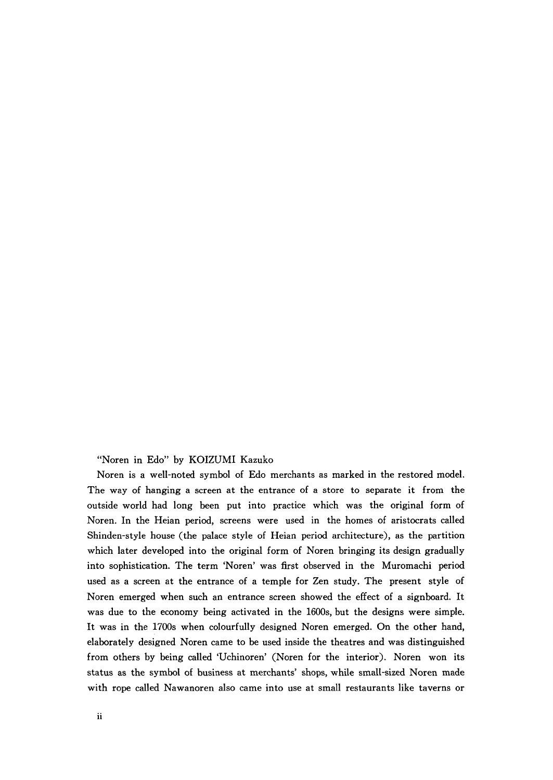"Noren in Edo" by KOIZUMI Kazuko

Noren is a well-noted symbol of Edo merchants as marked in the restored model. The way of hanging a screen at the entrance of a store to separate it from the outside world had long been put into practice which was the original form of Noren. In the Heian period, screens were used in the homes of aristocrats called Shinden-style house (the palace style of Heian period architecture), as the partition which later developed into the original form of Noren bringing its design gradually into sophistication. The term 'Noren' was first observed in the Muromachi period used as a screen at the entrance of a temple for Zen study. The present style of Noren emerged when such an entrance screen showed the effect of a signboard. It was due to the economy being activated in the 1600s, but the designs were simple. It was in the 1700s when colourfully designed Noren emerged. On the other hand, elaborately designed Noren came to be used inside the theatres and was distinguished from others by being called 'Uchinoren' (Noren for the interior). Noren won its status as the symbol of business at merchants' shops, while small-sized Noren made with rope called Nawanoren also came into use at small restaurants like taverns or